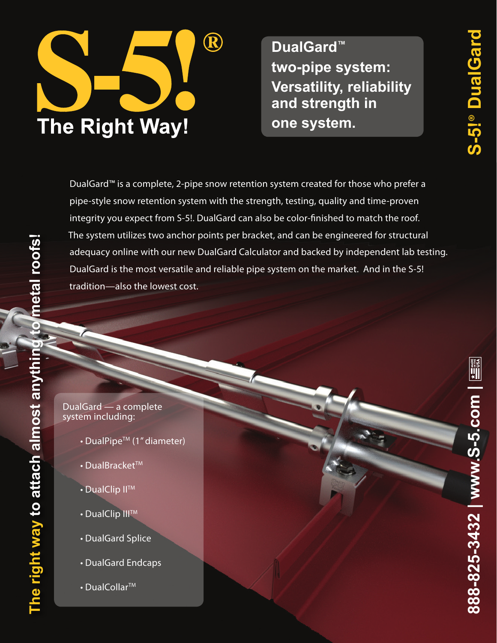

**DualGard™ two-pipe system: Versatility, reliability and strength in one system.**

DualGard™ is a complete, 2-pipe snow retention system created for those who prefer a pipe-style snow retention system with the strength, testing, quality and time-proven integrity you expect from S-5!. DualGard can also be color-finished to match the roof. The system utilizes two anchor points per bracket, and can be engineered for structural adequacy online with our new DualGard Calculator and backed by independent lab testing. DualGard is the most versatile and reliable pipe system on the market. And in the S-5! tradition—also the lowest cost.

### DualGard — a complete system including:

- DualPipe™ (1" diameter)
- $\cdot$  DualBracket<sup>TM</sup>
- DualClip II™
- DualClip III™
- DualGard Splice
- DualGard Endcaps
- $\cdot$  DualCollar<sup>TM</sup>